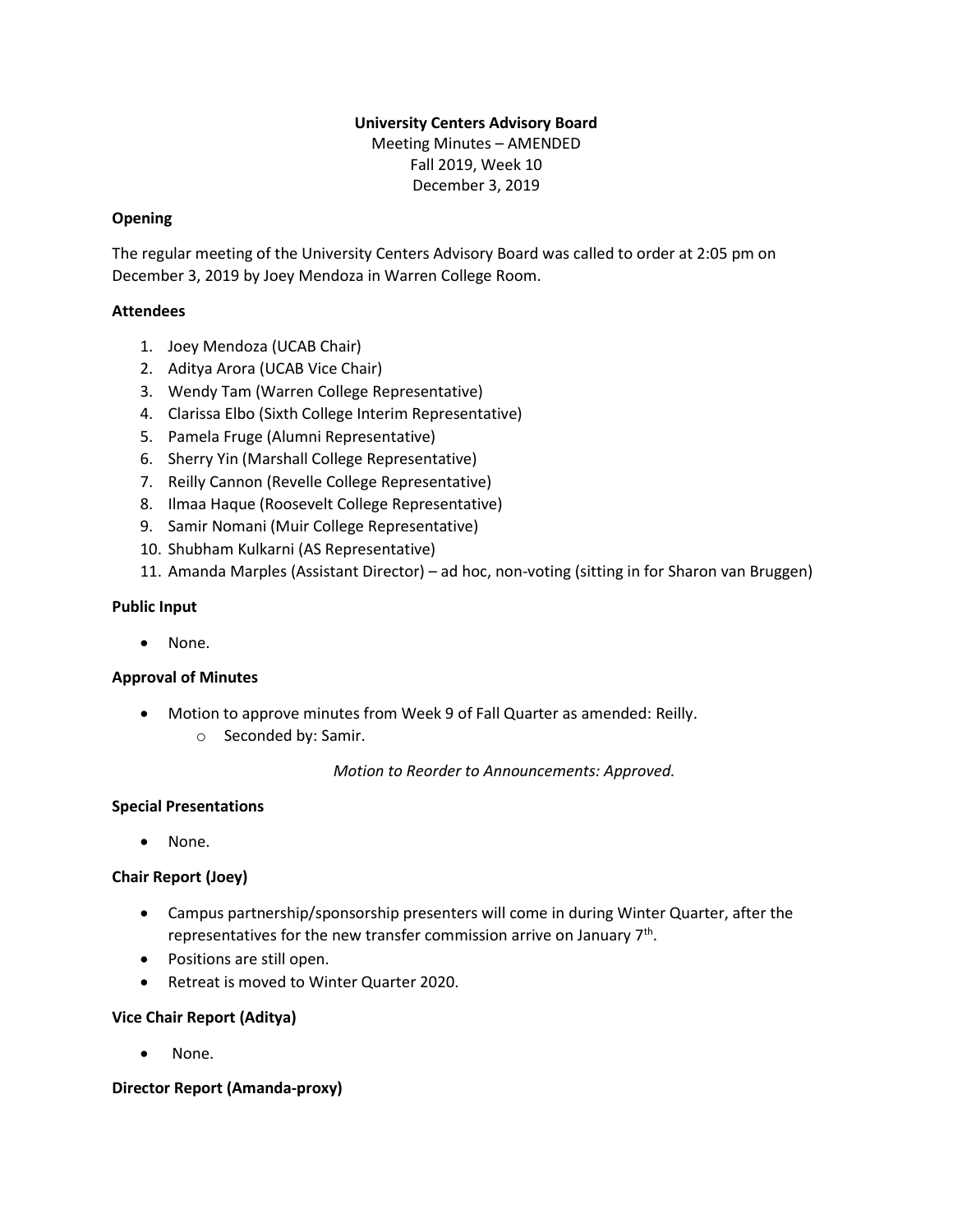# **University Centers Advisory Board**

Meeting Minutes – AMENDED Fall 2019, Week 10 December 3, 2019

### **Opening**

The regular meeting of the University Centers Advisory Board was called to order at 2:05 pm on December 3, 2019 by Joey Mendoza in Warren College Room.

## **Attendees**

- 1. Joey Mendoza (UCAB Chair)
- 2. Aditya Arora (UCAB Vice Chair)
- 3. Wendy Tam (Warren College Representative)
- 4. Clarissa Elbo (Sixth College Interim Representative)
- 5. Pamela Fruge (Alumni Representative)
- 6. Sherry Yin (Marshall College Representative)
- 7. Reilly Cannon (Revelle College Representative)
- 8. Ilmaa Haque (Roosevelt College Representative)
- 9. Samir Nomani (Muir College Representative)
- 10. Shubham Kulkarni (AS Representative)
- 11. Amanda Marples (Assistant Director) ad hoc, non-voting (sitting in for Sharon van Bruggen)

#### **Public Input**

• None.

#### **Approval of Minutes**

- Motion to approve minutes from Week 9 of Fall Quarter as amended: Reilly.
	- o Seconded by: Samir.

*Motion to Reorder to Announcements: Approved.*

#### **Special Presentations**

• None.

#### **Chair Report (Joey)**

- Campus partnership/sponsorship presenters will come in during Winter Quarter, after the representatives for the new transfer commission arrive on January  $7<sup>th</sup>$ .
- Positions are still open.
- Retreat is moved to Winter Quarter 2020.

#### **Vice Chair Report (Aditya)**

None.

#### **Director Report (Amanda-proxy)**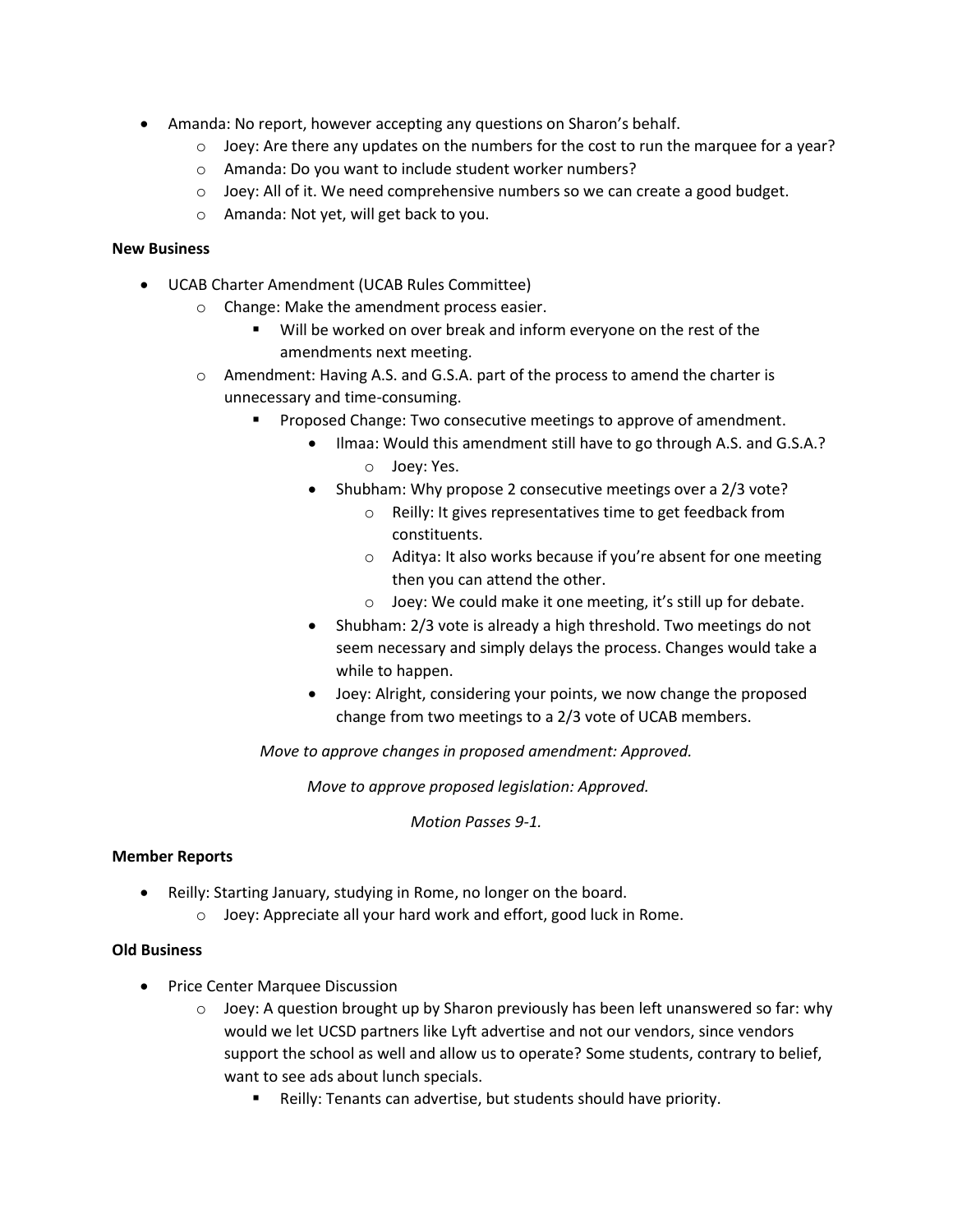- Amanda: No report, however accepting any questions on Sharon's behalf.
	- $\circ$  Joey: Are there any updates on the numbers for the cost to run the marquee for a year?
	- o Amanda: Do you want to include student worker numbers?
	- $\circ$  Joey: All of it. We need comprehensive numbers so we can create a good budget.
	- o Amanda: Not yet, will get back to you.

## **New Business**

- UCAB Charter Amendment (UCAB Rules Committee)
	- o Change: Make the amendment process easier.
		- Will be worked on over break and inform everyone on the rest of the amendments next meeting.
	- o Amendment: Having A.S. and G.S.A. part of the process to amend the charter is unnecessary and time-consuming.
		- Proposed Change: Two consecutive meetings to approve of amendment.
			- Ilmaa: Would this amendment still have to go through A.S. and G.S.A.? o Joey: Yes.
			- Shubham: Why propose 2 consecutive meetings over a 2/3 vote?
				- o Reilly: It gives representatives time to get feedback from constituents.
				- o Aditya: It also works because if you're absent for one meeting then you can attend the other.
				- o Joey: We could make it one meeting, it's still up for debate.
			- Shubham: 2/3 vote is already a high threshold. Two meetings do not seem necessary and simply delays the process. Changes would take a while to happen.
			- Joey: Alright, considering your points, we now change the proposed change from two meetings to a 2/3 vote of UCAB members.

*Move to approve changes in proposed amendment: Approved.*

*Move to approve proposed legislation: Approved.*

*Motion Passes 9-1.*

## **Member Reports**

- Reilly: Starting January, studying in Rome, no longer on the board.
	- o Joey: Appreciate all your hard work and effort, good luck in Rome.

#### **Old Business**

- Price Center Marquee Discussion
	- $\circ$  Joey: A question brought up by Sharon previously has been left unanswered so far: why would we let UCSD partners like Lyft advertise and not our vendors, since vendors support the school as well and allow us to operate? Some students, contrary to belief, want to see ads about lunch specials.
		- Reilly: Tenants can advertise, but students should have priority.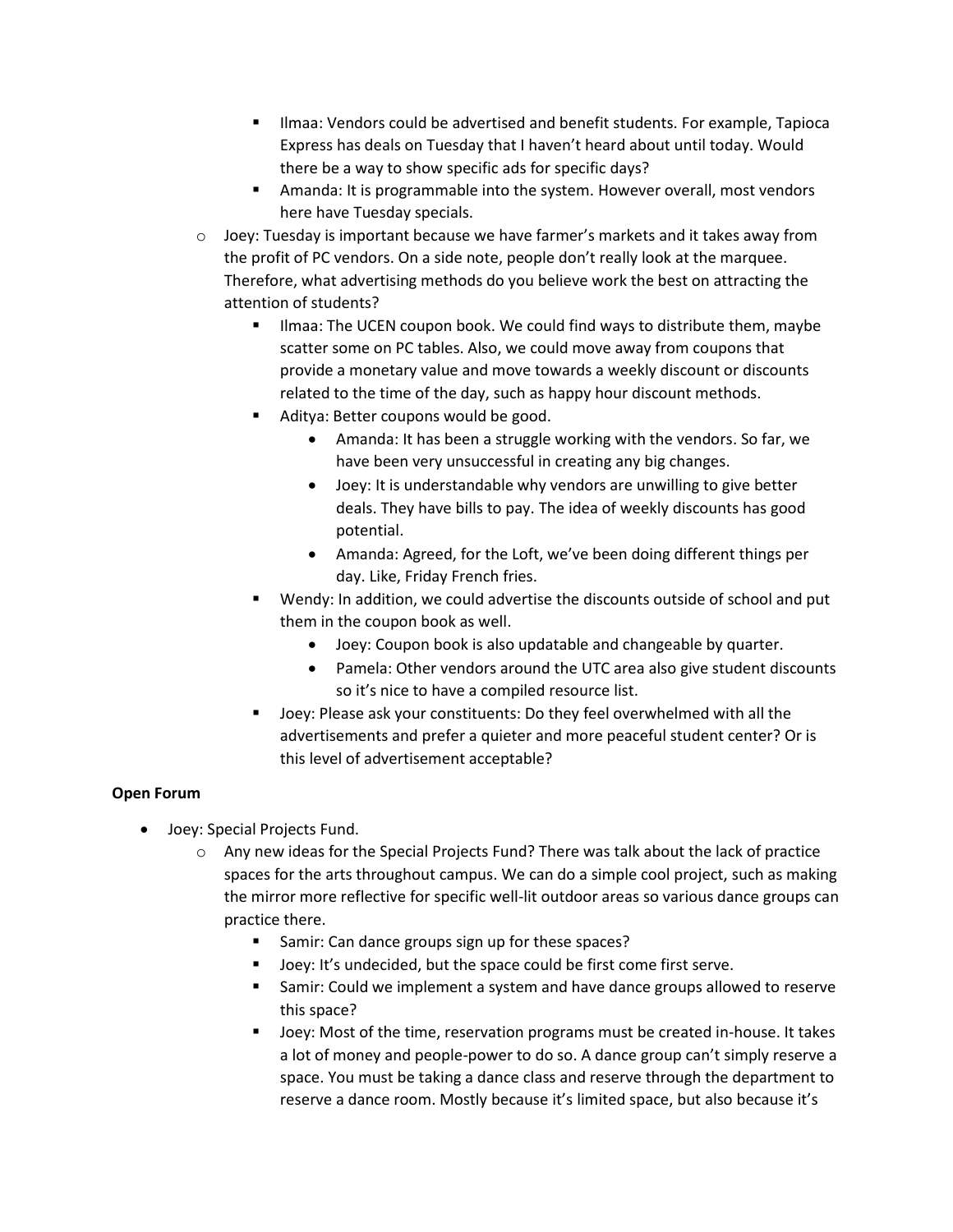- Ilmaa: Vendors could be advertised and benefit students. For example, Tapioca Express has deals on Tuesday that I haven't heard about until today. Would there be a way to show specific ads for specific days?
- **E** Amanda: It is programmable into the system. However overall, most vendors here have Tuesday specials.
- $\circ$  Joey: Tuesday is important because we have farmer's markets and it takes away from the profit of PC vendors. On a side note, people don't really look at the marquee. Therefore, what advertising methods do you believe work the best on attracting the attention of students?
	- Ilmaa: The UCEN coupon book. We could find ways to distribute them, maybe scatter some on PC tables. Also, we could move away from coupons that provide a monetary value and move towards a weekly discount or discounts related to the time of the day, such as happy hour discount methods.
	- Aditya: Better coupons would be good.
		- Amanda: It has been a struggle working with the vendors. So far, we have been very unsuccessful in creating any big changes.
		- Joey: It is understandable why vendors are unwilling to give better deals. They have bills to pay. The idea of weekly discounts has good potential.
		- Amanda: Agreed, for the Loft, we've been doing different things per day. Like, Friday French fries.
	- Wendy: In addition, we could advertise the discounts outside of school and put them in the coupon book as well.
		- Joey: Coupon book is also updatable and changeable by quarter.
		- Pamela: Other vendors around the UTC area also give student discounts so it's nice to have a compiled resource list.
	- Joey: Please ask your constituents: Do they feel overwhelmed with all the advertisements and prefer a quieter and more peaceful student center? Or is this level of advertisement acceptable?

# **Open Forum**

- Joey: Special Projects Fund.
	- o Any new ideas for the Special Projects Fund? There was talk about the lack of practice spaces for the arts throughout campus. We can do a simple cool project, such as making the mirror more reflective for specific well-lit outdoor areas so various dance groups can practice there.
		- Samir: Can dance groups sign up for these spaces?
		- Joey: It's undecided, but the space could be first come first serve.
		- **EXECO SAMIR:** Could we implement a system and have dance groups allowed to reserve this space?
		- Joey: Most of the time, reservation programs must be created in-house. It takes a lot of money and people-power to do so. A dance group can't simply reserve a space. You must be taking a dance class and reserve through the department to reserve a dance room. Mostly because it's limited space, but also because it's